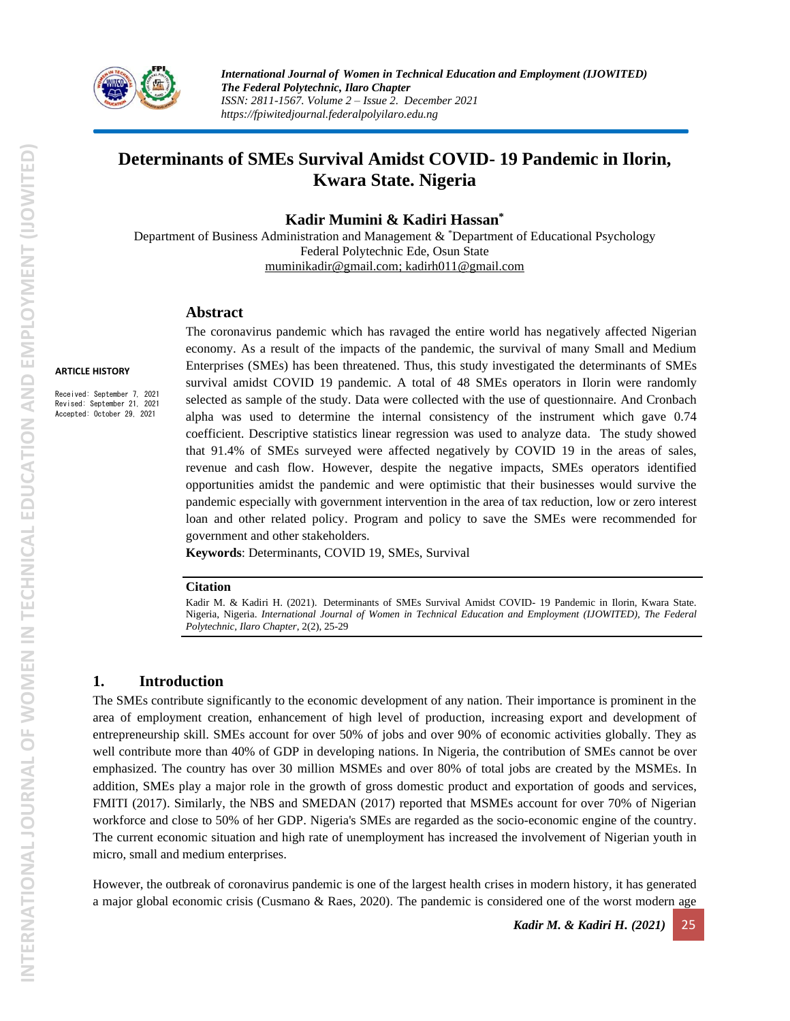

*International Journal of Women in Technical Education and Employment (IJOWITED) The Federal Polytechnic, Ilaro Chapter ISSN: 2811-1567. Volume 2 – Issue 2. December 2021 https://fpiwitedjournal.federalpolyilaro.edu.ng*

# **Determinants of SMEs Survival Amidst COVID- 19 Pandemic in Ilorin, Kwara State. Nigeria**

**Kadir Mumini & Kadiri Hassan\***

Department of Business Administration and Management & \*Department of Educational Psychology Federal Polytechnic Ede, Osun State [muminikadir@gmail.com;](mailto:muminikadir@gmail.com) [kadirh011@gmail.com](mailto:kadirh011@gmail.com)

#### **Abstract**

**ARTICLE HISTORY**

Received: September 7, 2021 Revised: September 21, 2021 Accepted: October 29, 2021

The coronavirus pandemic which has ravaged the entire world has negatively affected Nigerian economy. As a result of the impacts of the pandemic, the survival of many Small and Medium Enterprises (SMEs) has been threatened. Thus, this study investigated the determinants of SMEs survival amidst COVID 19 pandemic. A total of 48 SMEs operators in Ilorin were randomly selected as sample of the study. Data were collected with the use of questionnaire. And Cronbach alpha was used to determine the internal consistency of the instrument which gave 0.74 coefficient. Descriptive statistics linear regression was used to analyze data. The study showed that 91.4% of SMEs surveyed were affected negatively by COVID 19 in the areas of sales, revenue and cash flow. However, despite the negative impacts, SMEs operators identified opportunities amidst the pandemic and were optimistic that their businesses would survive the pandemic especially with government intervention in the area of tax reduction, low or zero interest loan and other related policy. Program and policy to save the SMEs were recommended for government and other stakeholders.

**Keywords**: Determinants, COVID 19, SMEs, Survival

#### **Citation**

Kadir M. & Kadiri H. (2021). Determinants of SMEs Survival Amidst COVID- 19 Pandemic in Ilorin, Kwara State. Nigeria, Nigeria. *International Journal of Women in Technical Education and Employment (IJOWITED), The Federal Polytechnic, Ilaro Chapter*, 2(2), 25-29

#### **1. Introduction**

The SMEs contribute significantly to the economic development of any nation. Their importance is prominent in the area of employment creation, enhancement of high level of production, increasing export and development of entrepreneurship skill. SMEs account for over 50% of jobs and over 90% of economic activities globally. They as well contribute more than 40% of GDP in developing nations. In Nigeria, the contribution of SMEs cannot be over emphasized. The country has over 30 million MSMEs and over 80% of total jobs are created by the MSMEs. In addition, SMEs play a major role in the growth of gross domestic product and exportation of goods and services, FMITI (2017). Similarly, the NBS and SMEDAN (2017) reported that MSMEs account for over 70% of Nigerian workforce and close to 50% of her GDP. Nigeria's SMEs are regarded as the socio-economic engine of the country. The current economic situation and high rate of unemployment has increased the involvement of Nigerian youth in micro, small and medium enterprises.

However, the outbreak of coronavirus pandemic is one of the largest health crises in modern history, it has generated a major global economic crisis (Cusmano & Raes, 2020). The pandemic is considered one of the worst modern age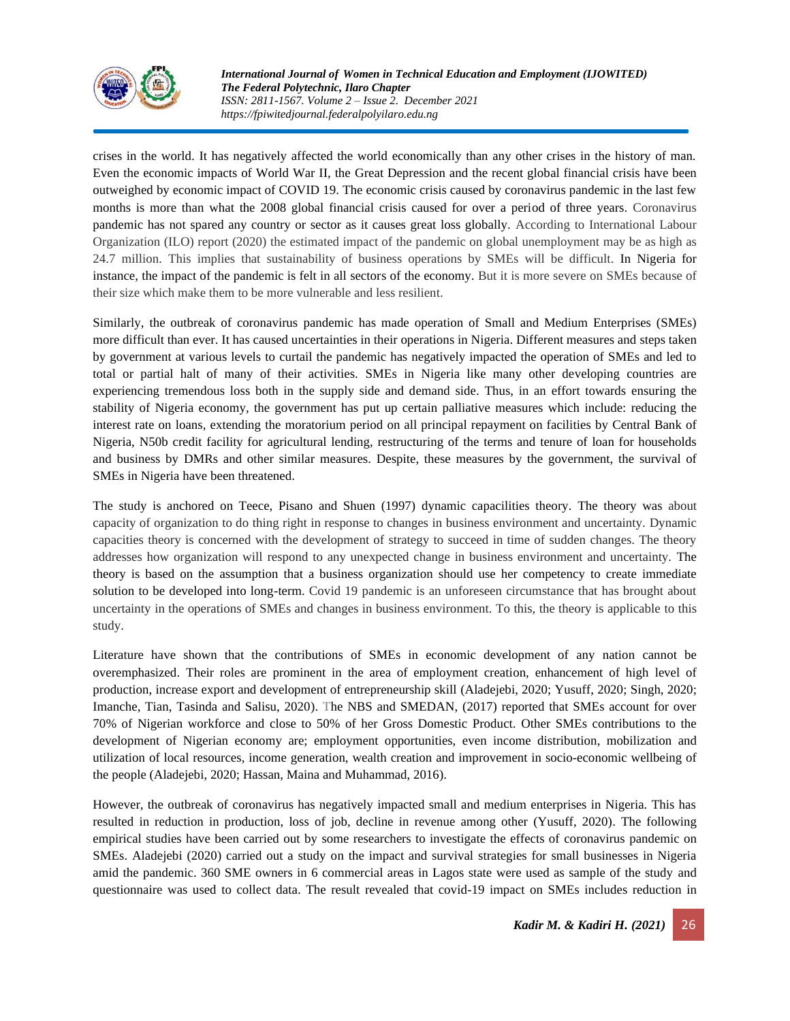

*International Journal of Women in Technical Education and Employment (IJOWITED) The Federal Polytechnic, Ilaro Chapter ISSN: 2811-1567. Volume 2 – Issue 2. December 2021 https://fpiwitedjournal.federalpolyilaro.edu.ng*

crises in the world. It has negatively affected the world economically than any other crises in the history of man. Even the economic impacts of World War II, the Great Depression and the recent global financial crisis have been outweighed by economic impact of COVID 19. The economic crisis caused by coronavirus pandemic in the last few months is more than what the 2008 global financial crisis caused for over a period of three years. Coronavirus pandemic has not spared any country or sector as it causes great loss globally. According to International Labour Organization (ILO) report (2020) the estimated impact of the pandemic on global unemployment may be as high as 24.7 million. This implies that sustainability of business operations by SMEs will be difficult. In Nigeria for instance, the impact of the pandemic is felt in all sectors of the economy. But it is more severe on SMEs because of their size which make them to be more vulnerable and less resilient.

Similarly, the outbreak of coronavirus pandemic has made operation of Small and Medium Enterprises (SMEs) more difficult than ever. It has caused uncertainties in their operations in Nigeria. Different measures and steps taken by government at various levels to curtail the pandemic has negatively impacted the operation of SMEs and led to total or partial halt of many of their activities. SMEs in Nigeria like many other developing countries are experiencing tremendous loss both in the supply side and demand side. Thus, in an effort towards ensuring the stability of Nigeria economy, the government has put up certain palliative measures which include: reducing the interest rate on loans, extending the moratorium period on all principal repayment on facilities by Central Bank of Nigeria, N50b credit facility for agricultural lending, restructuring of the terms and tenure of loan for households and business by DMRs and other similar measures. Despite, these measures by the government, the survival of SMEs in Nigeria have been threatened.

The study is anchored on Teece, Pisano and Shuen (1997) dynamic capacilities theory. The theory was about capacity of organization to do thing right in response to changes in business environment and uncertainty. Dynamic capacities theory is concerned with the development of strategy to succeed in time of sudden changes. The theory addresses how organization will respond to any unexpected change in business environment and uncertainty. The theory is based on the assumption that a business organization should use her competency to create immediate solution to be developed into long-term. Covid 19 pandemic is an unforeseen circumstance that has brought about uncertainty in the operations of SMEs and changes in business environment. To this, the theory is applicable to this study.

Literature have shown that the contributions of SMEs in economic development of any nation cannot be overemphasized. Their roles are prominent in the area of employment creation, enhancement of high level of production, increase export and development of entrepreneurship skill (Aladejebi, 2020; Yusuff, 2020; Singh, 2020; Imanche, Tian, Tasinda and Salisu, 2020). The NBS and SMEDAN, (2017) reported that SMEs account for over 70% of Nigerian workforce and close to 50% of her Gross Domestic Product. Other SMEs contributions to the development of Nigerian economy are; employment opportunities, even income distribution, mobilization and utilization of local resources, income generation, wealth creation and improvement in socio-economic wellbeing of the people (Aladejebi, 2020; Hassan, Maina and Muhammad, 2016).

However, the outbreak of coronavirus has negatively impacted small and medium enterprises in Nigeria. This has resulted in reduction in production, loss of job, decline in revenue among other (Yusuff, 2020). The following empirical studies have been carried out by some researchers to investigate the effects of coronavirus pandemic on SMEs. Aladejebi (2020) carried out a study on the impact and survival strategies for small businesses in Nigeria amid the pandemic. 360 SME owners in 6 commercial areas in Lagos state were used as sample of the study and questionnaire was used to collect data. The result revealed that covid-19 impact on SMEs includes reduction in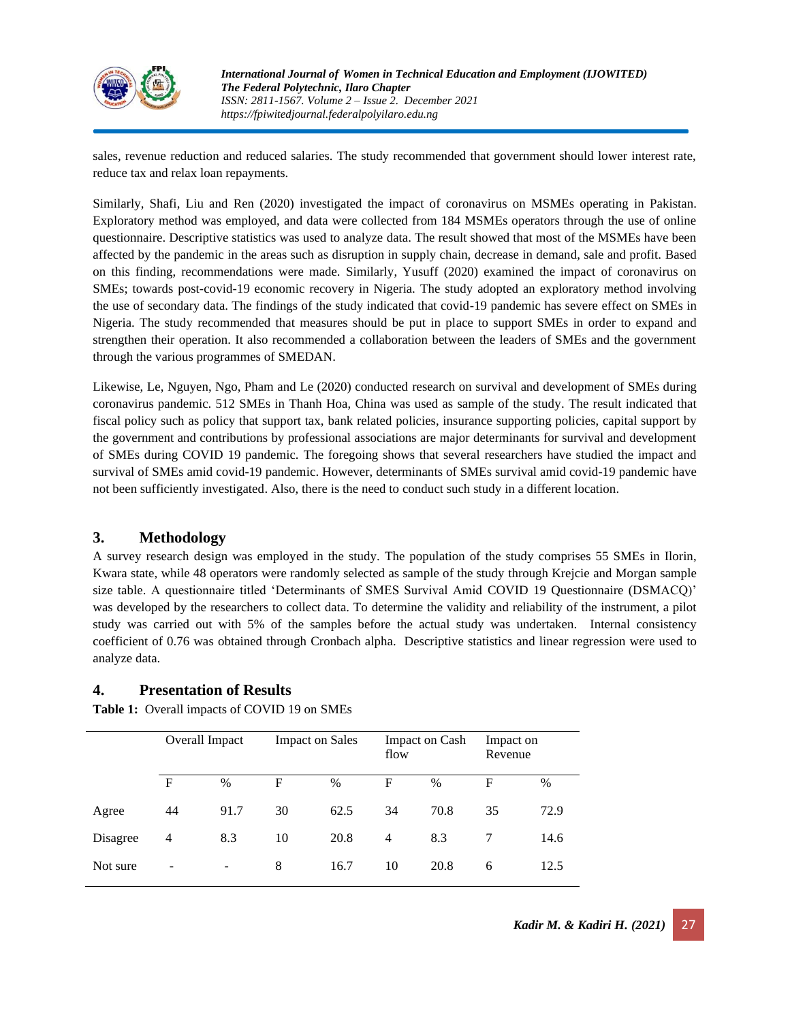

*International Journal of Women in Technical Education and Employment (IJOWITED) The Federal Polytechnic, Ilaro Chapter ISSN: 2811-1567. Volume 2 – Issue 2. December 2021 https://fpiwitedjournal.federalpolyilaro.edu.ng*

sales, revenue reduction and reduced salaries. The study recommended that government should lower interest rate, reduce tax and relax loan repayments.

Similarly, Shafi, Liu and Ren (2020) investigated the impact of coronavirus on MSMEs operating in Pakistan. Exploratory method was employed, and data were collected from 184 MSMEs operators through the use of online questionnaire. Descriptive statistics was used to analyze data. The result showed that most of the MSMEs have been affected by the pandemic in the areas such as disruption in supply chain, decrease in demand, sale and profit. Based on this finding, recommendations were made. Similarly, Yusuff (2020) examined the impact of coronavirus on SMEs; towards post-covid-19 economic recovery in Nigeria. The study adopted an exploratory method involving the use of secondary data. The findings of the study indicated that covid-19 pandemic has severe effect on SMEs in Nigeria. The study recommended that measures should be put in place to support SMEs in order to expand and strengthen their operation. It also recommended a collaboration between the leaders of SMEs and the government through the various programmes of SMEDAN.

Likewise, Le, Nguyen, Ngo, Pham and Le (2020) conducted research on survival and development of SMEs during coronavirus pandemic. 512 SMEs in Thanh Hoa, China was used as sample of the study. The result indicated that fiscal policy such as policy that support tax, bank related policies, insurance supporting policies, capital support by the government and contributions by professional associations are major determinants for survival and development of SMEs during COVID 19 pandemic. The foregoing shows that several researchers have studied the impact and survival of SMEs amid covid-19 pandemic. However, determinants of SMEs survival amid covid-19 pandemic have not been sufficiently investigated. Also, there is the need to conduct such study in a different location.

## **3. Methodology**

A survey research design was employed in the study. The population of the study comprises 55 SMEs in Ilorin, Kwara state, while 48 operators were randomly selected as sample of the study through Krejcie and Morgan sample size table. A questionnaire titled 'Determinants of SMES Survival Amid COVID 19 Questionnaire (DSMACQ)' was developed by the researchers to collect data. To determine the validity and reliability of the instrument, a pilot study was carried out with 5% of the samples before the actual study was undertaken. Internal consistency coefficient of 0.76 was obtained through Cronbach alpha. Descriptive statistics and linear regression were used to analyze data.

#### **4. Presentation of Results**

|          | Overall Impact  |      | <b>Impact on Sales</b> |      | <b>Impact on Cash</b><br>flow |               | Impact on<br>Revenue |      |
|----------|-----------------|------|------------------------|------|-------------------------------|---------------|----------------------|------|
|          | $\mathbf F$     | $\%$ | F                      | %    | F                             | $\frac{0}{0}$ | F                    | $\%$ |
| Agree    | 44              | 91.7 | 30                     | 62.5 | 34                            | 70.8          | 35                   | 72.9 |
| Disagree | $\overline{4}$  | 8.3  | 10                     | 20.8 | $\overline{4}$                | 8.3           |                      | 14.6 |
| Not sure | $\qquad \qquad$ | ۰    | 8                      | 16.7 | 10                            | 20.8          | 6                    | 12.5 |

**Table 1:** Overall impacts of COVID 19 on SMEs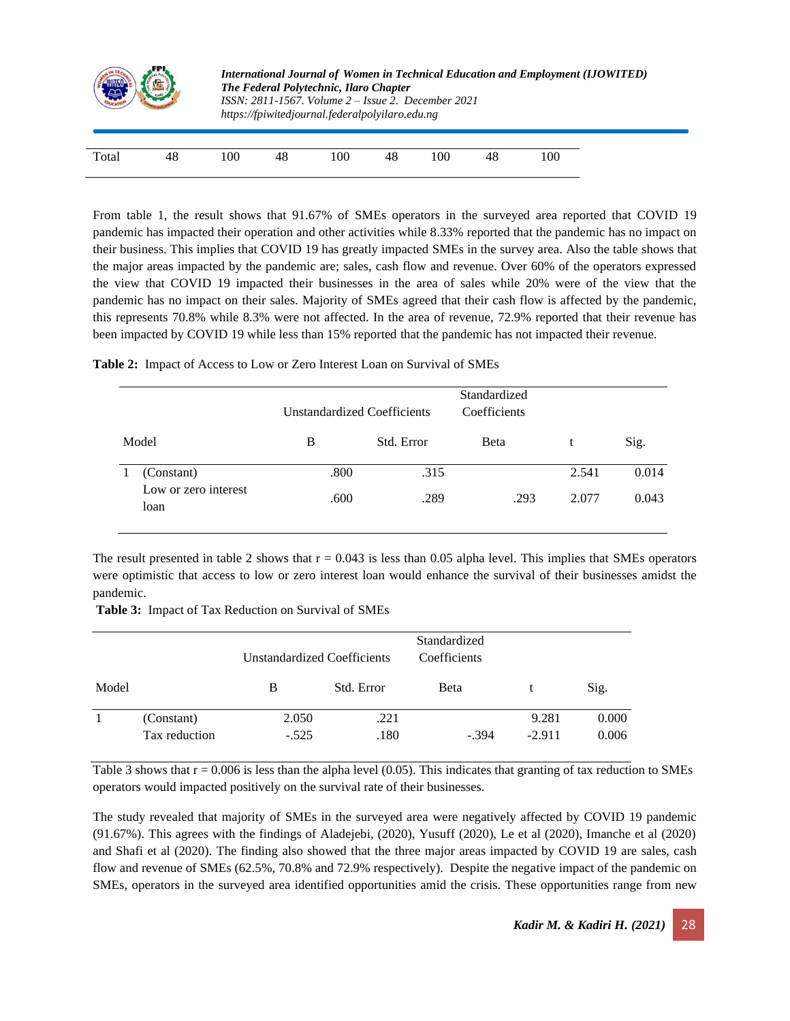|       |    |     | International Journal of Women in Technical Education and Employment (IJOWITED)<br>The Federal Polytechnic, Ilaro Chapter<br>$ISSN: 2811-1567. Volume 2 - Issue 2. December 2021$<br>https://fpiwitedjournal.federalpolyilaro.edu.ng |     |    |     |    |     |  |  |  |
|-------|----|-----|--------------------------------------------------------------------------------------------------------------------------------------------------------------------------------------------------------------------------------------|-----|----|-----|----|-----|--|--|--|
| Total | 48 | 100 | 48                                                                                                                                                                                                                                   | 100 | 48 | 100 | 48 | 100 |  |  |  |

From table 1, the result shows that 91.67% of SMEs operators in the surveyed area reported that COVID 19 pandemic has impacted their operation and other activities while 8.33% reported that the pandemic has no impact on their business. This implies that COVID 19 has greatly impacted SMEs in the survey area. Also the table shows that the major areas impacted by the pandemic are; sales, cash flow and revenue. Over 60% of the operators expressed the view that COVID 19 impacted their businesses in the area of sales while 20% were of the view that the pandemic has no impact on their sales. Majority of SMEs agreed that their cash flow is affected by the pandemic, this represents 70.8% while 8.3% were not affected. In the area of revenue, 72.9% reported that their revenue has been impacted by COVID 19 while less than 15% reported that the pandemic has not impacted their revenue.

| Table 2: Impact of Access to Low or Zero Interest Loan on Survival of SMEs |  |
|----------------------------------------------------------------------------|--|
|----------------------------------------------------------------------------|--|

|       |                              |      | <b>Unstandardized Coefficients</b> | Standardized<br>Coefficients |       |       |
|-------|------------------------------|------|------------------------------------|------------------------------|-------|-------|
| Model |                              | В    | Std. Error                         | Beta                         |       | Sig.  |
|       | (Constant)                   | .800 | .315                               |                              | 2.541 | 0.014 |
|       | Low or zero interest<br>loan | .600 | .289                               | .293                         | 2.077 | 0.043 |

The result presented in table 2 shows that  $r = 0.043$  is less than 0.05 alpha level. This implies that SMEs operators were optimistic that access to low or zero interest loan would enhance the survival of their businesses amidst the pandemic.

**Table 3:** Impact of Tax Reduction on Survival of SMEs

|       |                             | Unstandardized Coefficients |              | Standardized<br>Coefficients |                   |                |
|-------|-----------------------------|-----------------------------|--------------|------------------------------|-------------------|----------------|
| Model |                             | B                           | Std. Error   | Beta                         |                   | Sig.           |
|       | (Constant)<br>Tax reduction | 2.050<br>$-.525$            | .221<br>.180 | $-.394$                      | 9.281<br>$-2.911$ | 0.000<br>0.006 |

Table 3 shows that  $r = 0.006$  is less than the alpha level  $(0.05)$ . This indicates that granting of tax reduction to SMEs operators would impacted positively on the survival rate of their businesses.

The study revealed that majority of SMEs in the surveyed area were negatively affected by COVID 19 pandemic (91.67%). This agrees with the findings of Aladejebi, (2020), Yusuff (2020), Le et al (2020), Imanche et al (2020) and Shafi et al (2020). The finding also showed that the three major areas impacted by COVID 19 are sales, cash flow and revenue of SMEs (62.5%, 70.8% and 72.9% respectively). Despite the negative impact of the pandemic on SMEs, operators in the surveyed area identified opportunities amid the crisis. These opportunities range from new